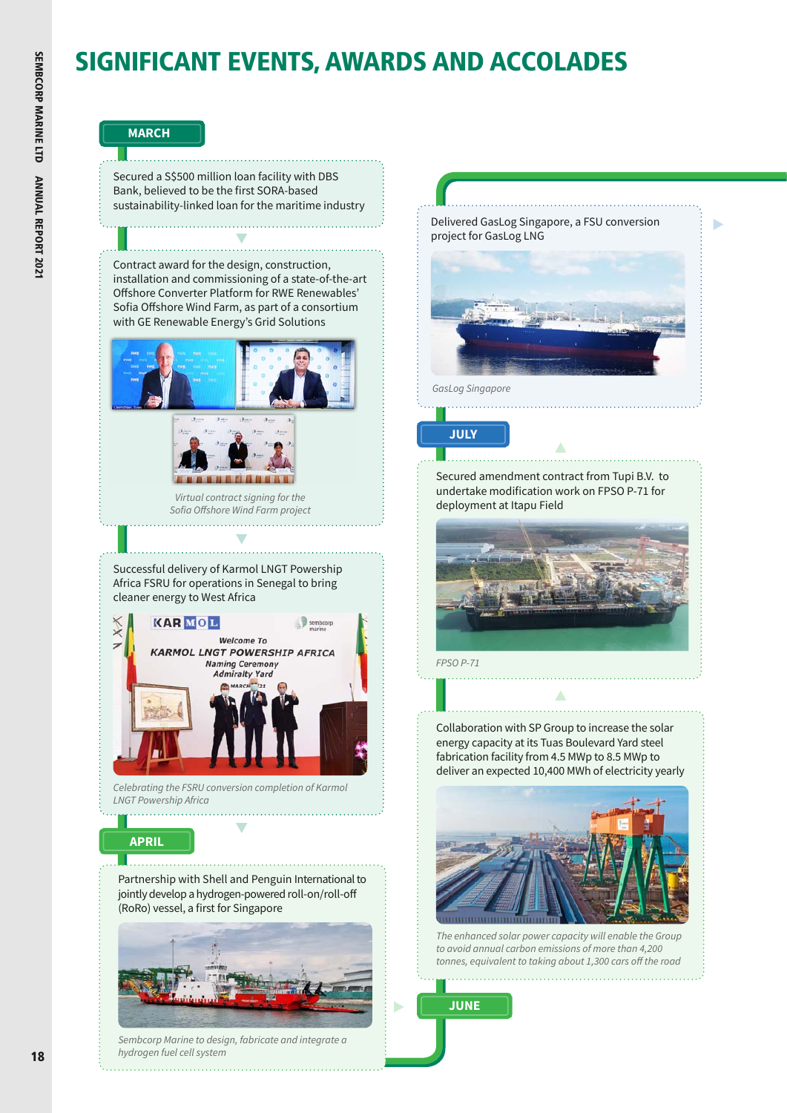# SIGNIFICANT EVENTS, AWARDS AND ACCOLADES

D

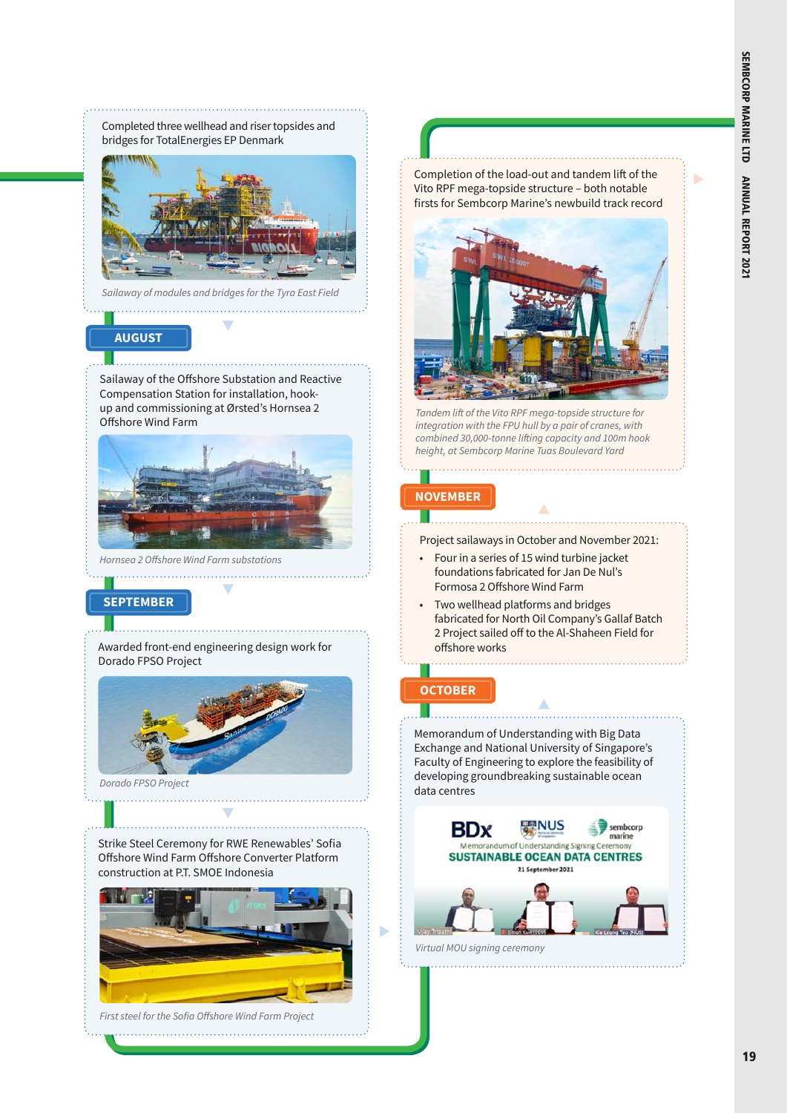Completed three wellhead and riser topsides and bridges for TotalEnergies EP Denmark



*Sailaway of modules and bridges for the Tyra East Field*

## **AUGUST**

Sailaway of the Offshore Substation and Reactive Compensation Station for installation, hookup and commissioning at Ørsted's Hornsea 2 Offshore Wind Farm



*Hornsea 2 Offshore Wind Farm substations* 

## **SEPTEMBER**

Awarded front-end engineering design work for Dorado FPSO Project



*Dorado FPSO Project*

Strike Steel Ceremony for RWE Renewables' Sofia Offshore Wind Farm Offshore Converter Platform construction at P.T. SMOE Indonesia



*First steel for the Sofia Offshore Wind Farm Project*  Completion of the load-out and tandem lift of the Vito RPF mega-topside structure – both notable firsts for Sembcorp Marine's newbuild track record



*Tandem lift of the Vito RPF mega-topside structure for integration with the FPU hull by a pair of cranes, with combined 30,000-tonne lifting capacity and 100m hook height, at Sembcorp Marine Tuas Boulevard Yard*

# **NOVEMBER**

Project sailaways in October and November 2021:

- Four in a series of 15 wind turbine jacket foundations fabricated for Jan De Nul's Formosa 2 Offshore Wind Farm
- Two wellhead platforms and bridges fabricated for North Oil Company's Gallaf Batch 2 Project sailed off to the Al-Shaheen Field for offshore works

# **OCTOBER**

Memorandum of Understanding with Big Data Exchange and National University of Singapore's Faculty of Engineering to explore the feasibility of developing groundbreaking sustainable ocean data centres

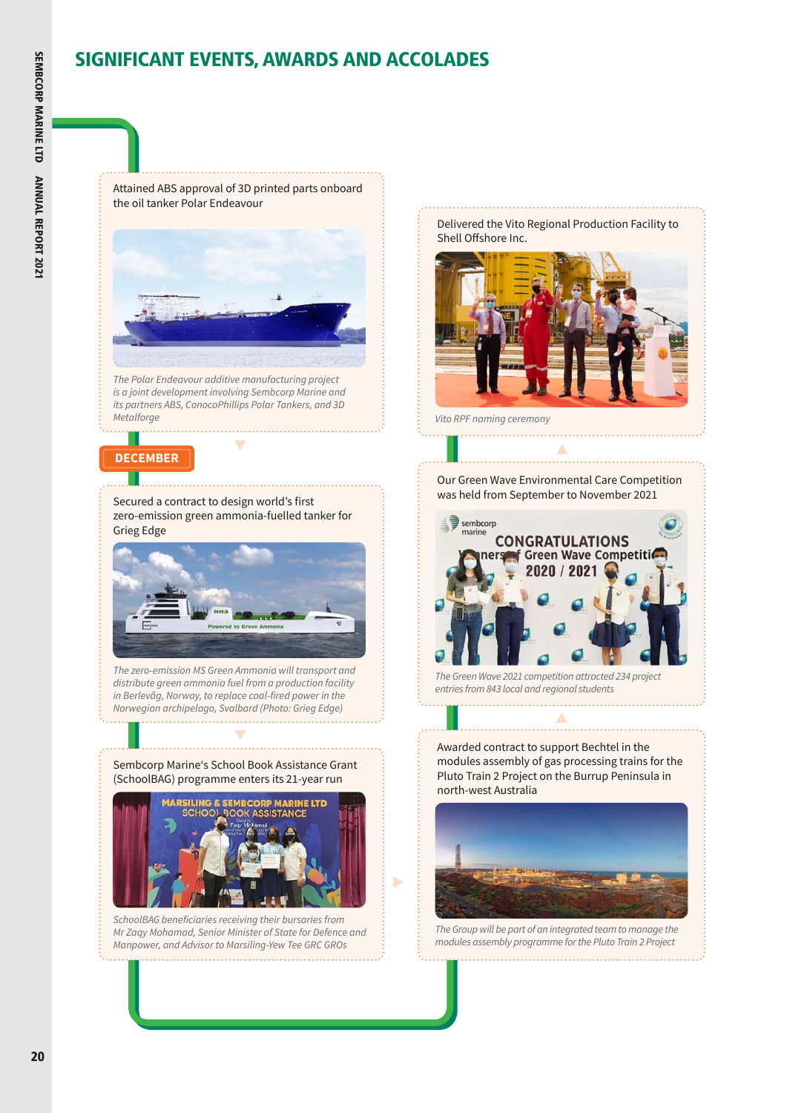# SIGNIFICANT EVENTS, AWARDS AND ACCOLADES